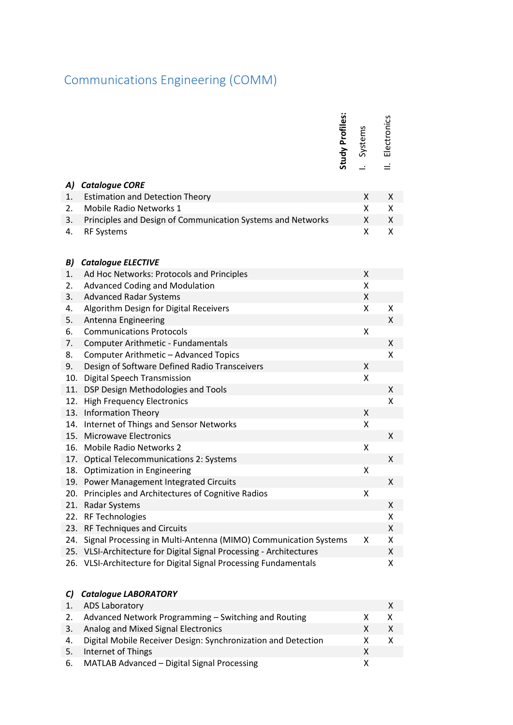## Communications Engineering (COMM)

|     |                                                                                                                                         | <b>Study Profiles:</b> | Systems            | Electronics |
|-----|-----------------------------------------------------------------------------------------------------------------------------------------|------------------------|--------------------|-------------|
|     |                                                                                                                                         |                        |                    |             |
| A)  | <b>Catalogue CORE</b>                                                                                                                   |                        |                    |             |
| 1.  | <b>Estimation and Detection Theory</b>                                                                                                  |                        | X                  | X.          |
| 2.  | <b>Mobile Radio Networks 1</b>                                                                                                          |                        | Χ                  | X           |
| 3.  | Principles and Design of Communication Systems and Networks                                                                             |                        | Χ                  | X           |
| 4.  | <b>RF Systems</b>                                                                                                                       |                        | Χ                  | X           |
| B)  | <b>Catalogue ELECTIVE</b>                                                                                                               |                        |                    |             |
| 1.  | Ad Hoc Networks: Protocols and Principles                                                                                               |                        | X                  |             |
| 2.  | <b>Advanced Coding and Modulation</b>                                                                                                   |                        | Χ                  |             |
| 3.  | <b>Advanced Radar Systems</b>                                                                                                           |                        | Χ                  |             |
| 4.  | Algorithm Design for Digital Receivers                                                                                                  |                        | X                  | x           |
| 5.  | Antenna Engineering                                                                                                                     |                        |                    | X           |
| 6.  | <b>Communications Protocols</b>                                                                                                         |                        | Χ                  |             |
| 7.  | Computer Arithmetic - Fundamentals                                                                                                      |                        |                    | X           |
| 8.  | Computer Arithmetic - Advanced Topics                                                                                                   |                        |                    | Χ           |
| 9.  | Design of Software Defined Radio Transceivers                                                                                           |                        | $\pmb{\mathsf{X}}$ |             |
| 10. | Digital Speech Transmission                                                                                                             |                        | Χ                  |             |
| 11. | DSP Design Methodologies and Tools                                                                                                      |                        |                    | X           |
| 12. | <b>High Frequency Electronics</b>                                                                                                       |                        |                    | x           |
|     | 13. Information Theory                                                                                                                  |                        | $\pmb{\mathsf{X}}$ |             |
| 14. | Internet of Things and Sensor Networks                                                                                                  |                        | Χ                  |             |
| 15. | <b>Microwave Electronics</b>                                                                                                            |                        |                    | X           |
| 16. | <b>Mobile Radio Networks 2</b>                                                                                                          |                        | Χ                  |             |
| 17. | <b>Optical Telecommunications 2: Systems</b>                                                                                            |                        |                    | X           |
| 18. | Optimization in Engineering                                                                                                             |                        | X                  |             |
| 19. | Power Management Integrated Circuits                                                                                                    |                        |                    | X           |
| 20. | Principles and Architectures of Cognitive Radios                                                                                        |                        | Χ                  |             |
|     | 21. Radar Systems                                                                                                                       |                        |                    | Χ           |
| 22. | <b>RF Technologies</b>                                                                                                                  |                        |                    | x           |
| 23. | <b>RF Techniques and Circuits</b>                                                                                                       |                        |                    | X           |
| 24. | Signal Processing in Multi-Antenna (MIMO) Communication Systems                                                                         |                        | X                  | x           |
|     | 25. VLSI-Architecture for Digital Signal Processing - Architectures<br>26. VLSI-Architecture for Digital Signal Processing Fundamentals |                        |                    | X           |
|     |                                                                                                                                         |                        |                    | x           |
| C)  | <b>Catalogue LABORATORY</b>                                                                                                             |                        |                    |             |
| 1.  | <b>ADS Laboratory</b>                                                                                                                   |                        |                    | X           |
| 2.  | Advanced Network Programming - Switching and Routing                                                                                    |                        | x                  | x           |
| 3.  | Analog and Mixed Signal Electronics                                                                                                     |                        | X                  | X           |
| 4.  | Digital Mobile Receiver Design: Synchronization and Detection                                                                           |                        | Χ                  | x           |
| 5.  | Internet of Things                                                                                                                      |                        | Χ                  |             |
| 6.  | MATLAB Advanced - Digital Signal Processing                                                                                             |                        | X                  |             |

## *C) Catalogue LABORATORY*

|    | <b>ADS Laboratory</b>                                         |   |  |
|----|---------------------------------------------------------------|---|--|
| 2. | Advanced Network Programming – Switching and Routing          |   |  |
| 3. | Analog and Mixed Signal Electronics                           | x |  |
| 4. | Digital Mobile Receiver Design: Synchronization and Detection |   |  |
| 5. | Internet of Things                                            |   |  |
| 6. | MATLAB Advanced - Digital Signal Processing                   |   |  |
|    |                                                               |   |  |